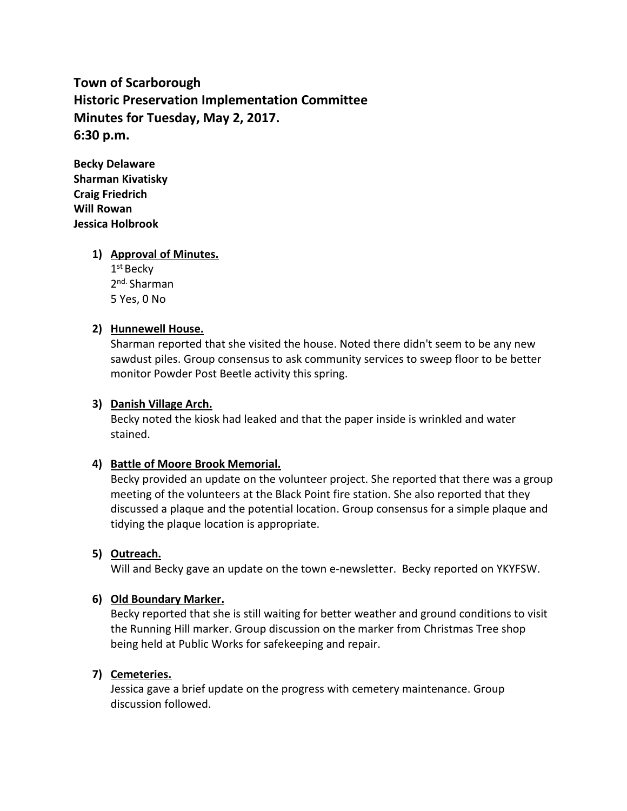**Town of Scarborough Historic Preservation Implementation Committee Minutes for Tuesday, May 2, 2017. 6:30 p.m.**

**Becky Delaware Sharman Kivatisky Craig Friedrich Will Rowan Jessica Holbrook**

# **1) Approval of Minutes.**

1 st Becky 2<sup>nd.</sup> Sharman 5 Yes, 0 No

## **2) Hunnewell House.**

Sharman reported that she visited the house. Noted there didn't seem to be any new sawdust piles. Group consensus to ask community services to sweep floor to be better monitor Powder Post Beetle activity this spring.

#### **3) Danish Village Arch.**

Becky noted the kiosk had leaked and that the paper inside is wrinkled and water stained.

# **4) Battle of Moore Brook Memorial.**

Becky provided an update on the volunteer project. She reported that there was a group meeting of the volunteers at the Black Point fire station. She also reported that they discussed a plaque and the potential location. Group consensus for a simple plaque and tidying the plaque location is appropriate.

# **5) Outreach.**

Will and Becky gave an update on the town e-newsletter. Becky reported on YKYFSW.

#### **6) Old Boundary Marker.**

Becky reported that she is still waiting for better weather and ground conditions to visit the Running Hill marker. Group discussion on the marker from Christmas Tree shop being held at Public Works for safekeeping and repair.

#### **7) Cemeteries.**

Jessica gave a brief update on the progress with cemetery maintenance. Group discussion followed.